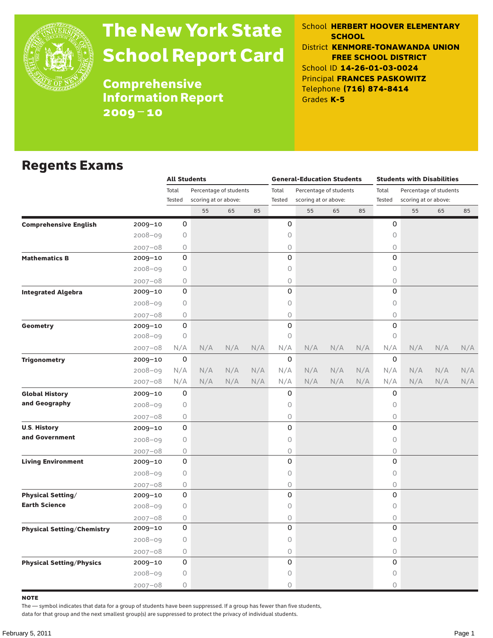

# The New York State School Report Card

School **HERBERT HOOVER ELEMENTARY SCHOOL** District **KENMORE-TONAWANDA UNION FREE SCHOOL DISTRICT** School ID **14-26-01-03-0024** Principal **FRANCES PASKOWITZ** Telephone **(716) 874-8414** Grades **K-5**

**Comprehensive** Information Report 2009–10

#### Regents Exams

|                                                                                                                                                                                                                                                                                                                                                                                                                                                                                                                                                |             | <b>All Students</b> |                        |     |     |             | <b>General-Education Students</b> |     |     | <b>Students with Disabilities</b> |                        |                   |     |  |
|------------------------------------------------------------------------------------------------------------------------------------------------------------------------------------------------------------------------------------------------------------------------------------------------------------------------------------------------------------------------------------------------------------------------------------------------------------------------------------------------------------------------------------------------|-------------|---------------------|------------------------|-----|-----|-------------|-----------------------------------|-----|-----|-----------------------------------|------------------------|-------------------|-----|--|
|                                                                                                                                                                                                                                                                                                                                                                                                                                                                                                                                                |             | Total               | Percentage of students |     |     | Total       | Percentage of students            |     |     | Total                             | Percentage of students |                   |     |  |
|                                                                                                                                                                                                                                                                                                                                                                                                                                                                                                                                                |             | Tested              | scoring at or above:   |     |     | Tested      | scoring at or above:              |     |     | Tested                            | scoring at or above:   |                   |     |  |
|                                                                                                                                                                                                                                                                                                                                                                                                                                                                                                                                                |             |                     | 55                     | 65  | 85  |             | 55                                | 65  | 85  |                                   | 55                     | 65                | 85  |  |
| <b>Comprehensive English</b>                                                                                                                                                                                                                                                                                                                                                                                                                                                                                                                   | $2009 - 10$ | 0                   |                        |     |     | 0           |                                   |     |     | 0                                 |                        |                   |     |  |
|                                                                                                                                                                                                                                                                                                                                                                                                                                                                                                                                                | $2008 - 09$ | 0                   |                        |     |     | $\mathsf O$ |                                   |     |     | 0                                 |                        |                   |     |  |
|                                                                                                                                                                                                                                                                                                                                                                                                                                                                                                                                                |             | $\circ$             |                        |     |     | 0           |                                   |     |     | 0                                 |                        |                   |     |  |
| <b>Mathematics B</b>                                                                                                                                                                                                                                                                                                                                                                                                                                                                                                                           |             | 0                   |                        |     |     | 0           |                                   |     |     | 0                                 |                        |                   |     |  |
|                                                                                                                                                                                                                                                                                                                                                                                                                                                                                                                                                |             | $\bigcirc$          |                        |     |     | $\bigcirc$  |                                   |     |     | 0                                 |                        |                   |     |  |
|                                                                                                                                                                                                                                                                                                                                                                                                                                                                                                                                                |             | 0                   |                        |     |     | $\circ$     |                                   |     |     | $\bigcirc$                        |                        |                   |     |  |
| <b>Integrated Algebra</b>                                                                                                                                                                                                                                                                                                                                                                                                                                                                                                                      |             | 0                   |                        |     |     | 0           |                                   |     |     | 0                                 |                        |                   |     |  |
|                                                                                                                                                                                                                                                                                                                                                                                                                                                                                                                                                |             | $\circ$             |                        |     |     | $\circ$     |                                   |     |     | $\circ$                           |                        |                   |     |  |
|                                                                                                                                                                                                                                                                                                                                                                                                                                                                                                                                                |             | 0                   |                        |     |     | $\circ$     |                                   |     |     | $\bigcirc$                        |                        |                   |     |  |
| Geometry                                                                                                                                                                                                                                                                                                                                                                                                                                                                                                                                       | $2009 - 10$ | 0                   |                        |     |     | 0           |                                   |     |     | 0                                 |                        |                   |     |  |
|                                                                                                                                                                                                                                                                                                                                                                                                                                                                                                                                                |             | 0                   |                        |     |     | $\circ$     |                                   |     |     | $\bigcirc$                        |                        |                   |     |  |
|                                                                                                                                                                                                                                                                                                                                                                                                                                                                                                                                                | $2007 - 08$ | N/A                 | N/A                    | N/A | N/A | N/A         | N/A                               | N/A | N/A | N/A                               | N/A                    | N/A<br>N/A<br>N/A | N/A |  |
| <b>Trigonometry</b>                                                                                                                                                                                                                                                                                                                                                                                                                                                                                                                            | $2009 - 10$ | 0                   |                        |     |     | 0           |                                   |     |     | 0                                 |                        |                   |     |  |
|                                                                                                                                                                                                                                                                                                                                                                                                                                                                                                                                                | $2008 - 09$ | N/A                 | N/A                    | N/A | N/A | N/A         | N/A                               | N/A | N/A | N/A                               | N/A                    |                   | N/A |  |
|                                                                                                                                                                                                                                                                                                                                                                                                                                                                                                                                                |             | N/A                 | N/A                    | N/A | N/A | N/A         | N/A                               | N/A | N/A | N/A                               | N/A                    |                   | N/A |  |
| <b>Global History</b>                                                                                                                                                                                                                                                                                                                                                                                                                                                                                                                          |             | 0                   |                        |     |     | 0           |                                   |     |     | 0                                 |                        |                   |     |  |
| and Geography                                                                                                                                                                                                                                                                                                                                                                                                                                                                                                                                  |             | 0                   |                        |     |     | $\circ$     |                                   |     |     | $\circ$                           |                        |                   |     |  |
|                                                                                                                                                                                                                                                                                                                                                                                                                                                                                                                                                |             | 0                   |                        |     |     | 0           |                                   |     |     | 0                                 |                        |                   |     |  |
| <b>U.S. History</b>                                                                                                                                                                                                                                                                                                                                                                                                                                                                                                                            |             | 0                   |                        |     |     | 0           |                                   |     |     | 0                                 |                        |                   |     |  |
| and Government                                                                                                                                                                                                                                                                                                                                                                                                                                                                                                                                 |             | 0                   |                        |     |     | 0           |                                   |     |     | 0                                 |                        |                   |     |  |
|                                                                                                                                                                                                                                                                                                                                                                                                                                                                                                                                                |             | 0                   |                        |     |     | 0           |                                   |     |     | $\bigcirc$                        |                        |                   |     |  |
| $2007 - 08$<br>$2009 - 10$<br>$2008 - 09$<br>$2007 - 08$<br>2009-10<br>$2008 - 09$<br>$2007 - 08$<br>$2008 - 09$<br>$2007 - 08$<br>2009-10<br>$2008 - 09$<br>$2007 - 08$<br>2009-10<br>$2008 - 09$<br>$2007 - 08$<br><b>Living Environment</b><br>2009-10<br>$2008 - 09$<br>$2007 - 08$<br><b>Physical Setting/</b><br>2009-10<br><b>Earth Science</b><br>$2008 - 09$<br>$2007 - 08$<br>2009-10<br><b>Physical Setting/Chemistry</b><br>$2008 - 09$<br>$2007 - 08$<br><b>Physical Setting/Physics</b><br>2009-10<br>$2008 - 09$<br>$2007 - 08$ | 0           |                     |                        |     | 0   |             |                                   |     | 0   |                                   |                        |                   |     |  |
|                                                                                                                                                                                                                                                                                                                                                                                                                                                                                                                                                |             | $\circ$             |                        |     |     | $\circ$     |                                   |     |     | $\bigcirc$                        |                        |                   |     |  |
|                                                                                                                                                                                                                                                                                                                                                                                                                                                                                                                                                |             | 0                   |                        |     |     | 0           |                                   |     |     | $\bigcirc$                        |                        |                   |     |  |
|                                                                                                                                                                                                                                                                                                                                                                                                                                                                                                                                                |             | 0                   |                        |     |     | 0           |                                   |     |     | 0                                 |                        |                   |     |  |
|                                                                                                                                                                                                                                                                                                                                                                                                                                                                                                                                                |             | 0                   |                        |     |     | $\circ$     |                                   |     |     | 0                                 |                        |                   |     |  |
|                                                                                                                                                                                                                                                                                                                                                                                                                                                                                                                                                |             | 0                   |                        |     |     | 0           |                                   |     |     | $\bigcirc$                        |                        |                   |     |  |
|                                                                                                                                                                                                                                                                                                                                                                                                                                                                                                                                                |             | 0                   |                        |     |     | $\mathbf 0$ |                                   |     |     | 0                                 |                        |                   |     |  |
|                                                                                                                                                                                                                                                                                                                                                                                                                                                                                                                                                |             | 0                   |                        |     |     | $\circ$     |                                   |     |     | $\circ$                           |                        |                   |     |  |
|                                                                                                                                                                                                                                                                                                                                                                                                                                                                                                                                                |             | 0                   |                        |     |     | 0           |                                   |     |     | $\bigcirc$                        |                        |                   |     |  |
|                                                                                                                                                                                                                                                                                                                                                                                                                                                                                                                                                |             | 0                   |                        |     |     | 0           |                                   |     |     | 0                                 |                        |                   |     |  |
|                                                                                                                                                                                                                                                                                                                                                                                                                                                                                                                                                |             | 0                   |                        |     |     | $\circ$     |                                   |     |     | 0                                 |                        |                   |     |  |
|                                                                                                                                                                                                                                                                                                                                                                                                                                                                                                                                                |             | 0                   |                        |     |     | $\circ$     |                                   |     |     | 0                                 |                        |                   |     |  |

note

The — symbol indicates that data for a group of students have been suppressed. If a group has fewer than five students,

data for that group and the next smallest group(s) are suppressed to protect the privacy of individual students.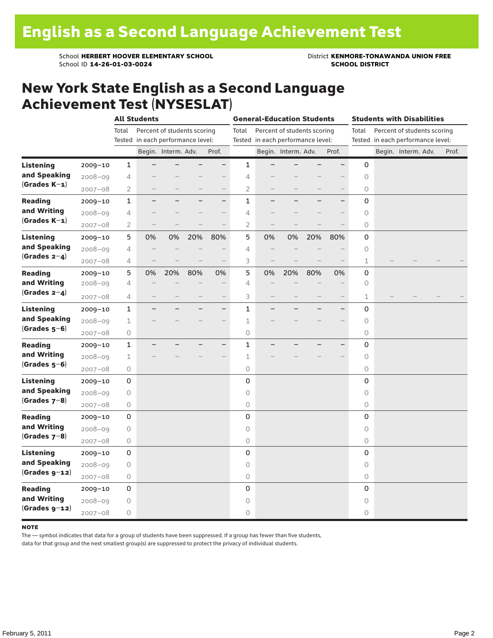School **HERBERT HOOVER ELEMENTARY SCHOOL** District **KENMORE-TONAWANDA UNION FREE**<br>School ID 14-26-01-03-0024 **District SCHOOL DISTRICT** School ID **14-26-01-03-0024** 

#### New York State English as a Second Language Achievement Test (NYSESLAT)

|                  |             |                | <b>All Students</b>               |                             |                   |                          |                | <b>General-Education Students</b> |                     |     |                          |       | <b>Students with Disabilities</b> |       |
|------------------|-------------|----------------|-----------------------------------|-----------------------------|-------------------|--------------------------|----------------|-----------------------------------|---------------------|-----|--------------------------|-------|-----------------------------------|-------|
|                  |             | Total          |                                   | Percent of students scoring |                   |                          | Total          | Percent of students scoring       |                     |     |                          | Total | Percent of students scoring       |       |
|                  |             |                | Tested in each performance level: |                             |                   |                          |                | Tested in each performance level: |                     |     |                          |       | Tested in each performance level: |       |
|                  |             |                |                                   | Begin. Interm. Adv.         |                   | Prof.                    |                |                                   | Begin. Interm. Adv. |     | Prof.                    |       | Begin. Interm. Adv.               | Prof. |
| <b>Listening</b> | 2009-10     | $\mathbf{1}$   |                                   |                             |                   | $\qquad \qquad -$        | $\mathbf{1}$   |                                   |                     |     | —                        | 0     |                                   |       |
| and Speaking     | $2008 - 09$ | 4              |                                   |                             |                   |                          | $\overline{4}$ |                                   |                     |     |                          | 0     |                                   |       |
| $(Grades K-1)$   | $2007 - 08$ | 2              |                                   |                             | $\qquad \qquad$   | $\qquad \qquad -$        | 2              | $\qquad \qquad -$                 |                     |     | $\qquad \qquad -$        | 0     |                                   |       |
| <b>Reading</b>   | $2009 - 10$ | 1              | $\overline{\phantom{0}}$          |                             |                   | $\overline{\phantom{0}}$ | $\mathbf{1}$   | $\overline{\phantom{0}}$          |                     |     | $\overline{\phantom{0}}$ | 0     |                                   |       |
| and Writing      | $2008 - 09$ | 4              |                                   |                             |                   | $\overline{\phantom{0}}$ | 4              |                                   |                     |     |                          | 0     |                                   |       |
| $(Grades K-1)$   | $2007 - 08$ | $\overline{2}$ |                                   |                             |                   | $\overline{\phantom{0}}$ | $\overline{2}$ |                                   |                     |     |                          | 0     |                                   |       |
| <b>Listening</b> | $2009 - 10$ | 5              | 0%                                | 0%                          | 20%               | 80%                      | 5              | 0%                                | 0%                  | 20% | 80%                      | 0     |                                   |       |
| and Speaking     | $2008 - 09$ | 4              |                                   |                             |                   |                          | 4              |                                   |                     |     |                          | 0     |                                   |       |
| (Grades $2-4$ )  | $2007 - 08$ | 4              |                                   |                             |                   | $-$                      | 3              |                                   |                     |     |                          | 1     |                                   |       |
| <b>Reading</b>   | 2009-10     | 5              | 0%                                | 20%                         | 80%               | 0%                       | 5              | 0%                                | 20%                 | 80% | 0%                       | 0     |                                   |       |
| and Writing      | $2008 - 09$ | 4              |                                   |                             |                   |                          | 4              |                                   |                     |     |                          | 0     |                                   |       |
| (Grades $2-4$ )  | $2007 - 08$ | 4              |                                   |                             | $\qquad \qquad -$ | $\qquad \qquad -$        | 3              |                                   |                     |     | $\overline{\phantom{0}}$ | 1     |                                   |       |
| <b>Listening</b> | $2009 - 10$ | $\mathbf{1}$   |                                   |                             |                   | $\overline{\phantom{0}}$ | $\mathbf{1}$   |                                   |                     |     | $\overline{\phantom{0}}$ | 0     |                                   |       |
| and Speaking     | $2008 - 09$ | $\mathbf 1$    |                                   |                             |                   |                          | 1              |                                   |                     |     |                          | 0     |                                   |       |
| $(Grades 5-6)$   | $2007 - 08$ | $\bigcirc$     |                                   |                             |                   |                          | 0              |                                   |                     |     |                          | 0     |                                   |       |
| <b>Reading</b>   | $2009 - 10$ | $\mathbf{1}$   |                                   |                             |                   | $\overline{\phantom{0}}$ | $\mathbf{1}$   |                                   |                     |     | $\equiv$                 | 0     |                                   |       |
| and Writing      | $2008 - 09$ | 1              |                                   |                             |                   |                          | $\mathbf 1$    |                                   |                     |     |                          | 0     |                                   |       |
| $(Grades 5-6)$   | $2007 - 08$ | 0              |                                   |                             |                   |                          | 0              |                                   |                     |     |                          | 0     |                                   |       |
| <b>Listening</b> | 2009-10     | 0              |                                   |                             |                   |                          | 0              |                                   |                     |     |                          | 0     |                                   |       |
| and Speaking     | $2008 - 09$ | 0              |                                   |                             |                   |                          | 0              |                                   |                     |     |                          | 0     |                                   |       |
| $(Grades 7-8)$   | $2007 - 08$ | 0              |                                   |                             |                   |                          | 0              |                                   |                     |     |                          | 0     |                                   |       |
| <b>Reading</b>   | $2009 - 10$ | 0              |                                   |                             |                   |                          | 0              |                                   |                     |     |                          | 0     |                                   |       |
| and Writing      | $2008 - 09$ | 0              |                                   |                             |                   |                          | 0              |                                   |                     |     |                          | 0     |                                   |       |
| $(Grades 7-8)$   | $2007 - 08$ | $\bigcirc$     |                                   |                             |                   |                          | 0              |                                   |                     |     |                          | 0     |                                   |       |
| Listening        | $2009 - 10$ | 0              |                                   |                             |                   |                          | 0              |                                   |                     |     |                          | 0     |                                   |       |
| and Speaking     | $2008 - 09$ | 0              |                                   |                             |                   |                          | $\circ$        |                                   |                     |     |                          | 0     |                                   |       |
| $(Grades g-12)$  | $2007 - 08$ | $\bigcirc$     |                                   |                             |                   |                          | 0              |                                   |                     |     |                          | 0     |                                   |       |
| <b>Reading</b>   | 2009-10     | 0              |                                   |                             |                   |                          | 0              |                                   |                     |     |                          | 0     |                                   |       |
| and Writing      | $2008 - 09$ | 0              |                                   |                             |                   |                          | 0              |                                   |                     |     |                          | 0     |                                   |       |
| $(Grades g-12)$  | $2007 - 08$ | 0              |                                   |                             |                   |                          | 0              |                                   |                     |     |                          | 0     |                                   |       |

#### **NOTE**

The — symbol indicates that data for a group of students have been suppressed. If a group has fewer than five students,

data for that group and the next smallest group(s) are suppressed to protect the privacy of individual students.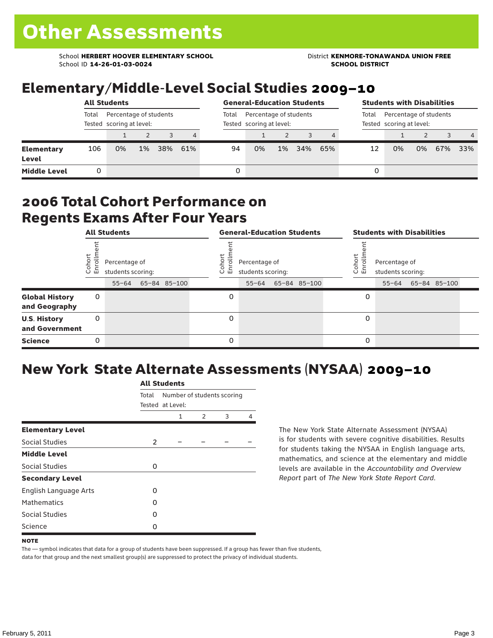School **HERBERT HOOVER ELEMENTARY SCHOOL** District **KENMORE-TONAWANDA UNION FREE**<br>School ID 14-26-01-03-0024 **District Album School District** School ID **14-26-01-03-0024** 

#### Elementary/Middle-Level Social Studies 2009–10

|                            |                                                             | <b>All Students</b> |       | <b>General-Education Students</b> |     |       |                                                    |       |     | <b>Students with Disabilities</b> |                                                             |    |    |     |                |
|----------------------------|-------------------------------------------------------------|---------------------|-------|-----------------------------------|-----|-------|----------------------------------------------------|-------|-----|-----------------------------------|-------------------------------------------------------------|----|----|-----|----------------|
|                            | Percentage of students<br>Total<br>Tested scoring at level: |                     |       |                                   |     | Total | Percentage of students<br>Tested scoring at level: |       |     |                                   | Percentage of students<br>Total<br>Tested scoring at level: |    |    |     |                |
|                            |                                                             |                     |       |                                   | 4   |       |                                                    |       |     | 4                                 |                                                             |    |    |     | $\overline{4}$ |
| <b>Elementary</b><br>Level | 106                                                         | 0%                  | $1\%$ | 38%                               | 61% | 94    | 0%                                                 | $1\%$ | 34% | 65%                               | 12                                                          | 0% | 0% | 67% | 33%            |
| <b>Middle Level</b>        |                                                             |                     |       |                                   |     |       |                                                    |       |     |                                   | 0                                                           |    |    |     |                |

#### 2006 Total Cohort Performance on Regents Exams After Four Years

|                                        | <b>All Students</b><br>Coho<br>Enroll<br>Percentage of<br>students scoring: |           |  |              |  |                 | <b>General-Education Students</b>               |              | <b>Students with Disabilities</b> |                                                 |  |              |  |  |
|----------------------------------------|-----------------------------------------------------------------------------|-----------|--|--------------|--|-----------------|-------------------------------------------------|--------------|-----------------------------------|-------------------------------------------------|--|--------------|--|--|
|                                        |                                                                             | $55 - 64$ |  | 65-84 85-100 |  | Coho<br>o.<br>면 | Percentage of<br>students scoring:<br>$55 - 64$ | 65-84 85-100 | Coho<br>o,<br>멷                   | Percentage of<br>students scoring:<br>$55 - 64$ |  | 65-84 85-100 |  |  |
| <b>Global History</b><br>and Geography | 0                                                                           |           |  |              |  | 0               |                                                 |              | 0                                 |                                                 |  |              |  |  |
| <b>U.S. History</b><br>and Government  | 0                                                                           |           |  |              |  | 0               |                                                 |              | 0                                 |                                                 |  |              |  |  |
| <b>Science</b>                         | 0                                                                           |           |  |              |  | 0               |                                                 |              | 0                                 |                                                 |  |              |  |  |

### New York State Alternate Assessments (NYSAA) 2009–10

|                         | <b>All Students</b> |                  |                            |   |   |  |  |  |  |  |
|-------------------------|---------------------|------------------|----------------------------|---|---|--|--|--|--|--|
|                         | Total               | Tested at Level: | Number of students scoring |   |   |  |  |  |  |  |
|                         |                     | 1                | $\mathcal{P}$              | 3 | 4 |  |  |  |  |  |
| <b>Elementary Level</b> |                     |                  |                            |   |   |  |  |  |  |  |
| Social Studies          | 2                   |                  |                            |   |   |  |  |  |  |  |
| <b>Middle Level</b>     |                     |                  |                            |   |   |  |  |  |  |  |
| Social Studies          | 0                   |                  |                            |   |   |  |  |  |  |  |
| <b>Secondary Level</b>  |                     |                  |                            |   |   |  |  |  |  |  |
| English Language Arts   | O                   |                  |                            |   |   |  |  |  |  |  |
| <b>Mathematics</b>      | O                   |                  |                            |   |   |  |  |  |  |  |
| Social Studies          | 0                   |                  |                            |   |   |  |  |  |  |  |
| Science                 | O                   |                  |                            |   |   |  |  |  |  |  |

The New York State Alternate Assessment (NYSAA) is for students with severe cognitive disabilities. Results for students taking the NYSAA in English language arts, mathematics, and science at the elementary and middle levels are available in the *Accountability and Overview Report* part of *The New York State Report Card*.

The — symbol indicates that data for a group of students have been suppressed. If a group has fewer than five students, data for that group and the next smallest group(s) are suppressed to protect the privacy of individual students.

**NOTE**